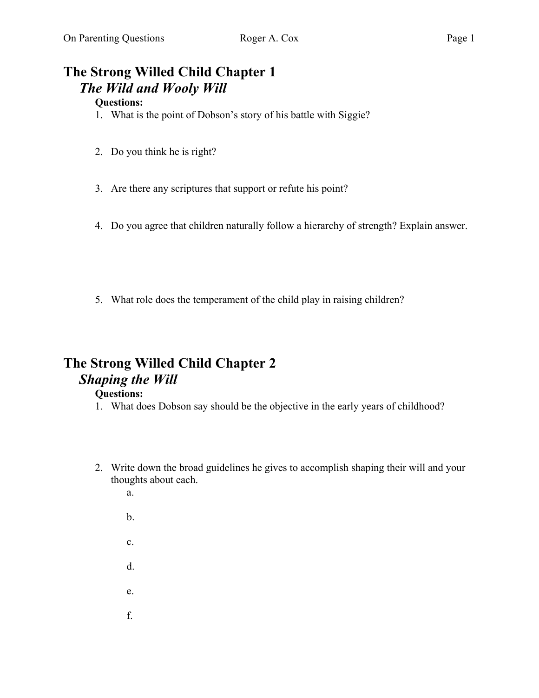# **The Strong Willed Child Chapter 1** *The Wild and Wooly Will*

### **Questions:**

- 1. What is the point of Dobson's story of his battle with Siggie?
- 2. Do you think he is right?
- 3. Are there any scriptures that support or refute his point?
- 4. Do you agree that children naturally follow a hierarchy of strength? Explain answer.
- 5. What role does the temperament of the child play in raising children?

## **The Strong Willed Child Chapter 2**  *Shaping the Will*

- 1. What does Dobson say should be the objective in the early years of childhood?
- 2. Write down the broad guidelines he gives to accomplish shaping their will and your thoughts about each.
	- a.
	- b.
	- c.
	- d.
	- e.
	- f.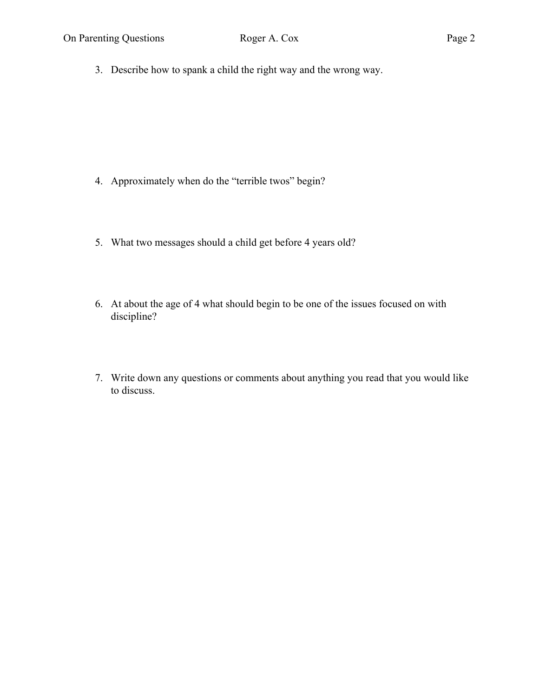3. Describe how to spank a child the right way and the wrong way.

- 4. Approximately when do the "terrible twos" begin?
- 5. What two messages should a child get before 4 years old?
- 6. At about the age of 4 what should begin to be one of the issues focused on with discipline?
- 7. Write down any questions or comments about anything you read that you would like to discuss.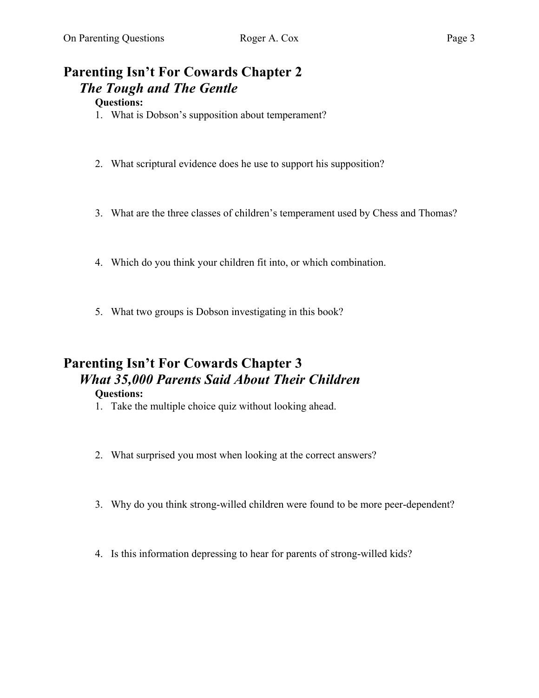# **Parenting Isn't For Cowards Chapter 2** *The Tough and The Gentle*

### **Questions:**

- 1. What is Dobson's supposition about temperament?
- 2. What scriptural evidence does he use to support his supposition?
- 3. What are the three classes of children's temperament used by Chess and Thomas?
- 4. Which do you think your children fit into, or which combination.
- 5. What two groups is Dobson investigating in this book?

# **Parenting Isn't For Cowards Chapter 3** *What 35,000 Parents Said About Their Children*

- 1. Take the multiple choice quiz without looking ahead.
- 2. What surprised you most when looking at the correct answers?
- 3. Why do you think strong-willed children were found to be more peer-dependent?
- 4. Is this information depressing to hear for parents of strong-willed kids?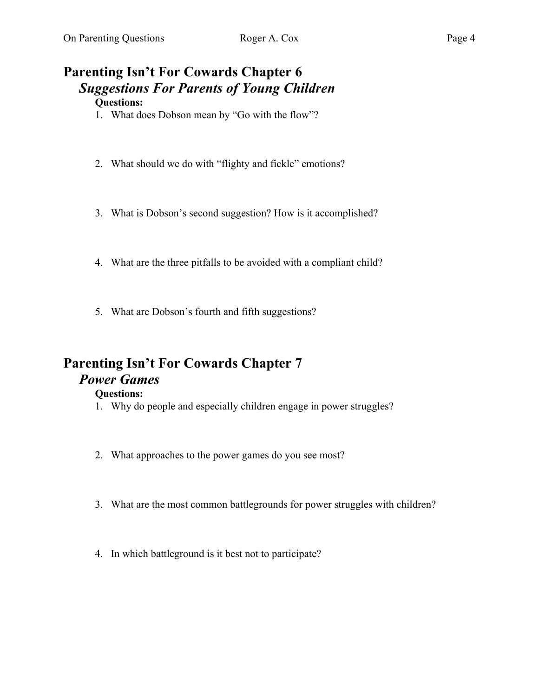# **Parenting Isn't For Cowards Chapter 6** *Suggestions For Parents of Young Children*

## **Questions:**

- 1. What does Dobson mean by "Go with the flow"?
- 2. What should we do with "flighty and fickle" emotions?
- 3. What is Dobson's second suggestion? How is it accomplished?
- 4. What are the three pitfalls to be avoided with a compliant child?
- 5. What are Dobson's fourth and fifth suggestions?

## **Parenting Isn't For Cowards Chapter 7** *Power Games*

- 1. Why do people and especially children engage in power struggles?
- 2. What approaches to the power games do you see most?
- 3. What are the most common battlegrounds for power struggles with children?
- 4. In which battleground is it best not to participate?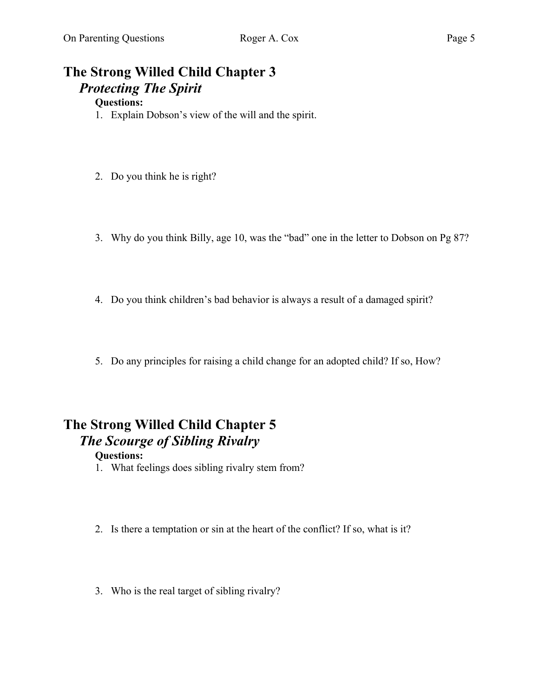# **The Strong Willed Child Chapter 3** *Protecting The Spirit*

## **Questions:**

- 1. Explain Dobson's view of the will and the spirit.
- 2. Do you think he is right?
- 3. Why do you think Billy, age 10, was the "bad" one in the letter to Dobson on Pg 87?
- 4. Do you think children's bad behavior is always a result of a damaged spirit?
- 5. Do any principles for raising a child change for an adopted child? If so, How?

# **The Strong Willed Child Chapter 5**  *The Scourge of Sibling Rivalry*

- 1. What feelings does sibling rivalry stem from?
- 2. Is there a temptation or sin at the heart of the conflict? If so, what is it?
- 3. Who is the real target of sibling rivalry?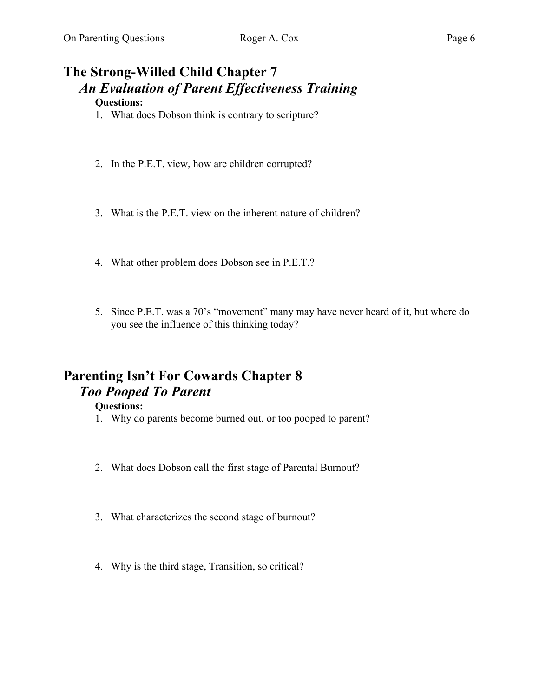# **The Strong-Willed Child Chapter 7** *An Evaluation of Parent Effectiveness Training*

## **Questions:**

- 1. What does Dobson think is contrary to scripture?
- 2. In the P.E.T. view, how are children corrupted?
- 3. What is the P.E.T. view on the inherent nature of children?
- 4. What other problem does Dobson see in P.E.T.?
- 5. Since P.E.T. was a 70's "movement" many may have never heard of it, but where do you see the influence of this thinking today?

## **Parenting Isn't For Cowards Chapter 8** *Too Pooped To Parent*

- 1. Why do parents become burned out, or too pooped to parent?
- 2. What does Dobson call the first stage of Parental Burnout?
- 3. What characterizes the second stage of burnout?
- 4. Why is the third stage, Transition, so critical?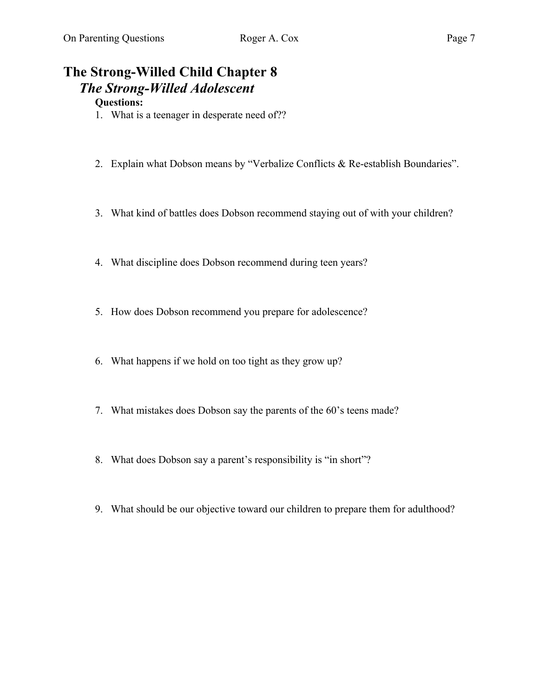# **The Strong-Willed Child Chapter 8** *The Strong-Willed Adolescent*

- 1. What is a teenager in desperate need of??
- 2. Explain what Dobson means by "Verbalize Conflicts & Re-establish Boundaries".
- 3. What kind of battles does Dobson recommend staying out of with your children?
- 4. What discipline does Dobson recommend during teen years?
- 5. How does Dobson recommend you prepare for adolescence?
- 6. What happens if we hold on too tight as they grow up?
- 7. What mistakes does Dobson say the parents of the 60's teens made?
- 8. What does Dobson say a parent's responsibility is "in short"?
- 9. What should be our objective toward our children to prepare them for adulthood?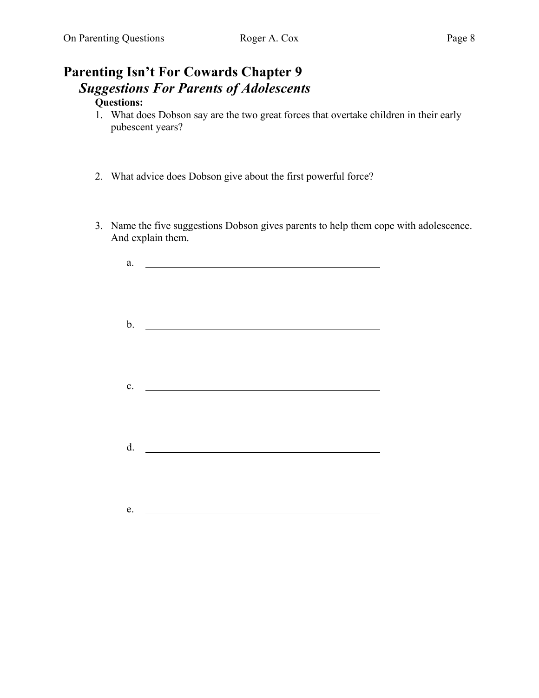# **Parenting Isn't For Cowards Chapter 9** *Suggestions For Parents of Adolescents*

- 1. What does Dobson say are the two great forces that overtake children in their early pubescent years?
- 2. What advice does Dobson give about the first powerful force?
- 3. Name the five suggestions Dobson gives parents to help them cope with adolescence. And explain them.

| $\mathbf{a}.$  | <u> 1989 - Andrea State Barbara, amerikan personal di sebagai personal di sebagai personal di sebagai personal d</u>   |
|----------------|------------------------------------------------------------------------------------------------------------------------|
|                |                                                                                                                        |
|                |                                                                                                                        |
|                |                                                                                                                        |
|                |                                                                                                                        |
|                | b. $\qquad \qquad$                                                                                                     |
|                |                                                                                                                        |
|                |                                                                                                                        |
|                |                                                                                                                        |
|                |                                                                                                                        |
| $\mathbf{c}$ . | <u> 1980 - John Stein, mars and de Branch and de Branch and de Branch and de Branch and de Branch and de Branch an</u> |
|                |                                                                                                                        |
|                |                                                                                                                        |
|                |                                                                                                                        |
|                |                                                                                                                        |
| $d$ .          | <u> 1980 - Johann Barbara, martxa alemaniar a</u>                                                                      |
|                |                                                                                                                        |
|                |                                                                                                                        |
|                |                                                                                                                        |
|                |                                                                                                                        |
|                |                                                                                                                        |
| e.             | <u> 1989 - Johann Barbara, martin a</u>                                                                                |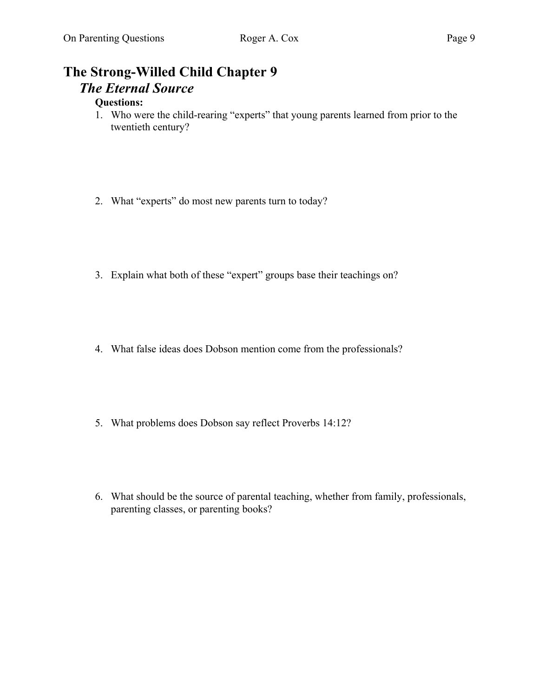# **The Strong-Willed Child Chapter 9** *The Eternal Source*

- 1. Who were the child-rearing "experts" that young parents learned from prior to the twentieth century?
- 2. What "experts" do most new parents turn to today?
- 3. Explain what both of these "expert" groups base their teachings on?
- 4. What false ideas does Dobson mention come from the professionals?
- 5. What problems does Dobson say reflect Proverbs 14:12?
- 6. What should be the source of parental teaching, whether from family, professionals, parenting classes, or parenting books?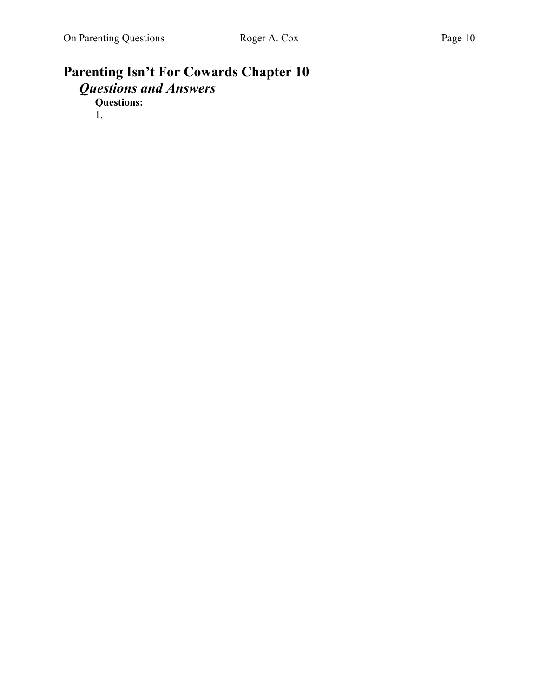## **Parenting Isn't For Cowards Chapter 10** *Questions and Answers* **Questions:**

1.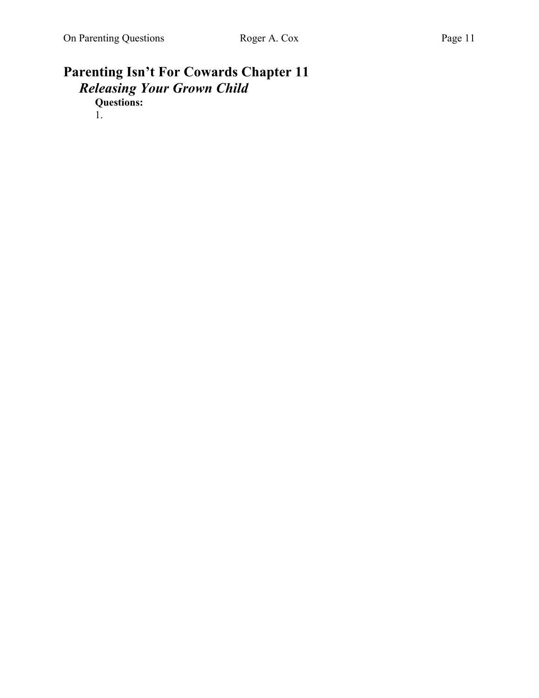# **Parenting Isn't For Cowards Chapter 11** *Releasing Your Grown Child*

**Questions:** 

1.